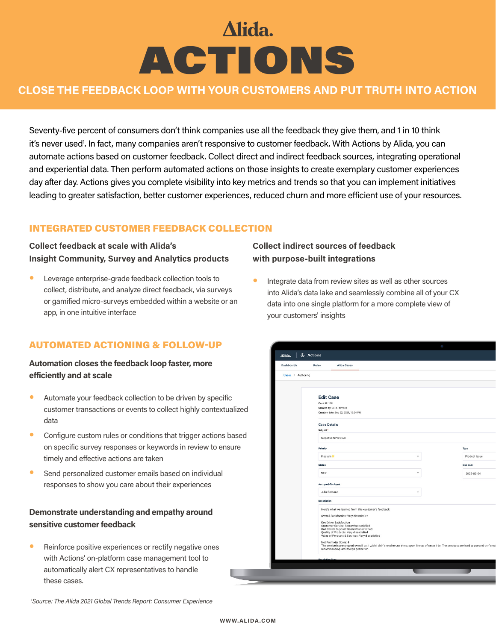# Alida. ACTIONS

## **CLOSE THE FEEDBACK LOOP WITH YOUR CUSTOMERS AND PUT TRUTH INTO ACTION**

Seventy-five percent of consumers don't think companies use all the feedback they give them, and 1 in 10 think it's never used'. In fact, many companies aren't responsive to customer feedback. With Actions by Alida, you can automate actions based on customer feedback. Collect direct and indirect feedback sources, integrating operational and experiential data. Then perform automated actions on those insights to create exemplary customer experiences day after day. Actions gives you complete visibility into key metrics and trends so that you can implement initiatives leading to greater satisfaction, better customer experiences, reduced churn and more efficient use of your resources.

## INTEGRATED CUSTOMER FEEDBACK COLLECTION

## **Collect feedback at scale with Alida's Insight Community, Survey and Analytics products**

• Leverage enterprise-grade feedback collection tools to collect, distribute, and analyze direct feedback, via surveys or gamified micro-surveys embedded within a website or an app, in one intuitive interface

## AUTOMATED ACTIONING & FOLLOW-UP

## **Automation closes the feedback loop faster, more efficiently and at scale**

- Automate your feedback collection to be driven by specific customer transactions or events to collect highly contextualized data
- Configure custom rules or conditions that trigger actions based on specific survey responses or keywords in review to ensure timely and effective actions are taken
- Send personalized customer emails based on individual responses to show you care about their experiences

## **Demonstrate understanding and empathy around sensitive customer feedback**

Reinforce positive experiences or rectify negative ones with Actions' on-platform case management tool to automatically alert CX representatives to handle these cases.

## **Collect indirect sources of feedback with purpose-built integrations**

• Integrate data from review sites as well as other sources into Alida's data lake and seamlessly combine all of your CX data into one single platform for a more complete view of your customers' insights

| <b>Dashboards</b> | <b>Rules</b>        | <b>Alida Cases</b>                                                                                                                                                                                               |                  |
|-------------------|---------------------|------------------------------------------------------------------------------------------------------------------------------------------------------------------------------------------------------------------|------------------|
| Cases > Authoring |                     |                                                                                                                                                                                                                  |                  |
|                   |                     |                                                                                                                                                                                                                  |                  |
|                   | <b>Edit Case</b>    |                                                                                                                                                                                                                  |                  |
|                   | Case ID: 100        |                                                                                                                                                                                                                  |                  |
|                   |                     | Created by: Julia Romano                                                                                                                                                                                         |                  |
|                   |                     | Creation date: Sep 22, 2021, 12:34 PM                                                                                                                                                                            |                  |
|                   | <b>Case Details</b> |                                                                                                                                                                                                                  |                  |
|                   | Subject*            |                                                                                                                                                                                                                  |                  |
|                   |                     | Negative NPS/CSAT                                                                                                                                                                                                |                  |
|                   | Priority            |                                                                                                                                                                                                                  | Type             |
|                   | Medium <sup>®</sup> |                                                                                                                                                                                                                  | Product Issue    |
|                   | <b>Status</b>       |                                                                                                                                                                                                                  | <b>Due Date</b>  |
|                   | New                 |                                                                                                                                                                                                                  | $2022 - 03 - 04$ |
|                   |                     | Assigned-To-Agent                                                                                                                                                                                                |                  |
|                   |                     | Julia Romano                                                                                                                                                                                                     |                  |
|                   | Description         |                                                                                                                                                                                                                  |                  |
|                   |                     | Here's what we learned from this customer's feedback:                                                                                                                                                            |                  |
|                   |                     | Overall Satisfaction: Very dissatisfied                                                                                                                                                                          |                  |
|                   |                     | Key Driver Satisfaction<br>Customer Service: Somewhat satisfied                                                                                                                                                  |                  |
|                   |                     | Call Center Support: Somewhat satisfied                                                                                                                                                                          |                  |
|                   |                     | Quality of Products: Very dissatisfied<br>Value of Products & Services: Very dissatisfied                                                                                                                        |                  |
|                   |                     |                                                                                                                                                                                                                  |                  |
|                   |                     | Net Promoter Score: 4<br>The service is pretty good overall but I wish I didn't need to use the support line as often as I do. The products are hard to use and don't m<br>recommending until things get better. |                  |
|                   |                     |                                                                                                                                                                                                                  |                  |

*1 Source: The Alida 2021 Global Trends Report: Consumer Experience*